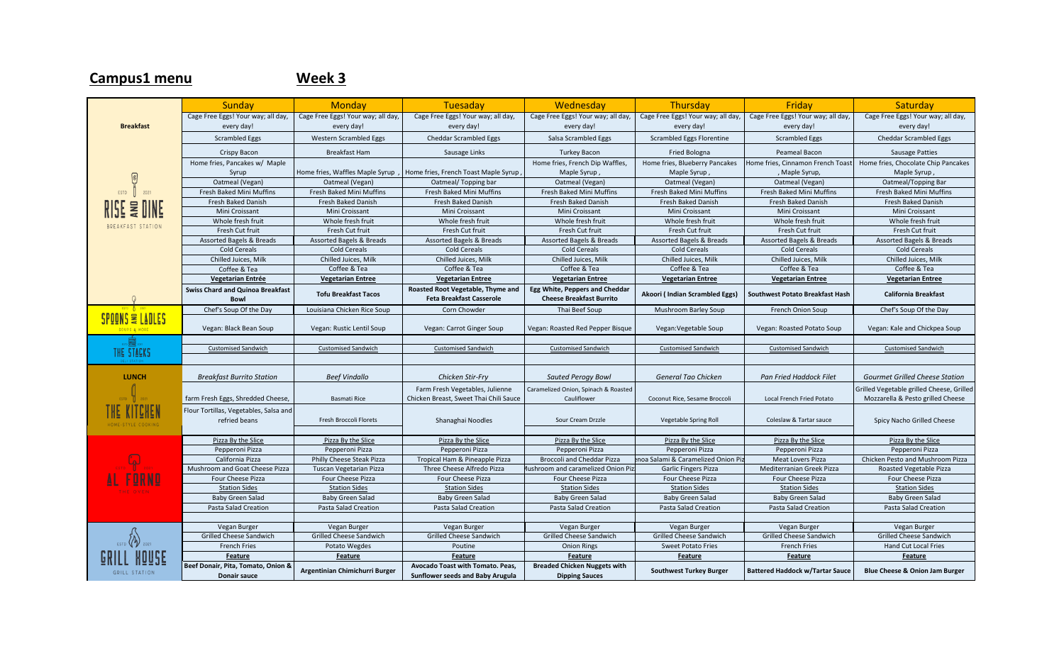## Sunday | Monday | Tuesaday | Wednesday | Thursday | Friday | Saturday Cage Free Eggs! Your way; all day, Cage Free Eggs! Your way; all day, Cage Free Eggs! Your way; all day, Cage Free Eggs! Your way; all day, Cage Free Eggs! Your way; all day, Cage Free Eggs! Your way; all day, Cage Free Eggs! Your way; all day, **Breakfast** every day! every day! every day! every day! every day! every day! every day! Scrambled Eggs | Kestern Scrambled Eggs | Cheddar Scrambled Eggs | Salsa Scrambled Eggs | Scrambled Eggs | Scrambled Eggs | Cheddar Scrambled Eggs Crispy Bacon | Breakfast Ham | Sausage Links | Turkey Bacon | Fried Bologna | Peameal Bacon | Sausage Patties Home fries, Pancakes w/ Maple Home fries, French Dip Waffles, Home fries, Chocolate Chip Pancakes Home fries, Blueberry Pancakes Home fries, Cinnamon French Toast Syrup Home fries, Waffles Maple Syrup , Home fries, French Toast Maple Syrup , Maple Syrup , Maple Syrup , , Maple Syrup, Maple Syrup ,  $\sqrt{2}$ Oatmeal (Vegan) Oatmeal (Vegan) Oatmeal/ Topping bar Oatmeal (Vegan) Oatmeal (Vegan) Oatmeal (Vegan) Oatmeal/Topping Bar  $ESTD$ 2021 Fresh Baked Mini Muffins | Fresh Baked Mini Muffins | Fresh Baked Mini Muffins | Fresh Baked Mini Muffins | Fresh Baked Mini Muffins | Fresh Baked Mini Muffins | Fresh Baked Mini Muffins | Fresh Baked Mini Muffins | Fresh Fresh Baked Danish Fresh Baked Danish Fresh Baked Danish Fresh Baked Danish Fresh Baked Danish Fresh Baked Danish Fresh Baked Danish Mini Croissant Mini Croissant Nini Croissant Mini Croissant Nini Croissant Nini Croissant Mini Croissant Mini Croissant Mini Croissant Mini Croissant Mini Croissant Mini Croissant Mini Croissant Mini Croissant Mini Croissa Whole fresh fruit | Whole fresh fruit | Whole fresh fruit | Whole fresh fruit | Whole fresh fruit | Whole fresh fruit | Whole fresh fruit | Whole fresh fruit | Whole fresh fruit | Whole fresh fruit | Whole fresh fruit | Wh BREAKFAST STATION Fresh Cut fruit Fresh Cut fruit Fresh Cut fruit Fresh Cut fruit Fresh Cut fruit Fresh Cut fruit Fresh Cut fruit Assorted Bagels & Breads Assorted Bagels & Breads Assorted Bagels & Breads Assorted Bagels & Breads Assorted Bagels & Breads Assorted Bagels & Breads Assorted Bagels & Breads Assorted Bagels & Breads Assorted Bagels & Brea Cold Cereals Cold Cereals Cold Cereals Cold Cereals Cold Cereals Cold Cereals Cold Cereals Chilled Juices, Milk Chilled Juices, Milk Chilled Juices, Milk Chilled Juices, Milk Chilled Juices, Milk Chilled Juices, Milk Chilled Juices, Milk Coffee & Tea Coffee & Tea Coffee & Tea Coffee & Tea Coffee & Tea Coffee & Tea Coffee & Tea **Vegetarian Entree Vegetarian Entrée Vegetarian Entree Vegetarian Entree Vegetarian Entree Vegetarian Entree Vegetarian Entree Vegetarian Entree Swiss Chard and Quinoa Breakfast Roasted Root Vegetable, Thyme and Egg White, Peppers and Cheddar Bowl Tofu Breakfast Tacos Cheese Breakfast Burrito Akoori ( Indian Scrambled Eggs) Southwest Potato Breakfast Hash California Breakfast**  $\Omega$ **Feta Breakfast Casserole** Chef's Soup Of the Day Louisiana Chicken Rice Soup Corn Chowder Thai Beef Soup Mushroom Barley Soup French Onion Soup Chef's Soup Of the Day SPOONS & LADLES Vegan: Black Bean Soup | Vegan: Rustic Lentil Soup | Vegan: Carrot Ginger Soup | Vegan: Roasted Pepper Bisque | Vegan: Vegan: Vegetable Soup | Vegan: Roasted Potato Soup | Vegan: Kale and Chickpea Soup Customised Sandwich Customised Sandwich Customised Sandwich Customised Sandwich Customised Sandwich Customised Sandwich Customised Sandwich THE STACKS **LUNCH** *Breakfast Burrito Station Beef Vindallo Chicken Stir-Fry Sauted Perogy Bowl General Tao Chicken Pan Fried Haddock Filet Gourmet Grilled Cheese Station* Farm Fresh Vegetables, Julienne **Caramelized Onion, Spinach & Roasted** Grilled Vegetable grilled Cheese, Grilled farm Fresh Eggs, Shredded Cheese, Basmati Rice Chicken Breast, Sweet Thai Chili Sauce Cauliflower Coconut Rice, Sesame Broccoli Local French Fried Potato Mozzarella & Pesto grilled Cheese Flour Tortillas, Vegetables, Salsa and refried beans **Fresh Broccoli Florets** Shanaghai Noodles | Sour Cream Drzzle | Vegetable Spring Roll | Coleslaw & Tartar sauce | Spicy Nacho Grilled Cheese Pizza By the Slice | Pizza By the Slice | Pizza By the Slice | Pizza By the Slice | Pizza By the Slice Pizza By the Slice Pizza By the Slice Pizza By the Slice Pizza By the Slice Pizza By the Slice Pizza By the Slice Pizza Pepperoni Pizza | Pepperoni Pizza | Pepperoni Pizza | Pepperoni Pizza | Pepperoni Pizza | Pepperoni Pizza | Pepperoni Pizza California Pizza | Philly Cheese Steak Pizza | Tropical Ham & Pineapple Pizza | Broccoli and Cheddar Pizza | noa Salami & Caramelized Onion Piz Mushroom and Goat Cheese Pizza Tuscan Vegetarian Pizza | Three Cheese Alfredo Pizza | ushroom and caramelized Onion Piz| Garlic Fingers Pizza | Mediterranian Greek Pizza | Roasted Vegetable Pizza Four Cheese Pizza Four Cheese Pizza Four Cheese Pizza Four Cheese Pizza Four Cheese Pizza Four Cheese Pizza Four Cheese Pizza Station Sides | Station Sides | Station Sides | Station Sides | Station Sides | Station Sides | Station Sides Baby Green Salad | Baby Green Salad | Baby Green Salad | Baby Green Salad | Baby Green Salad | Baby Green Salad | Baby Green Salad | Baby Green Salad Pasta Salad Creation | Pasta Salad Creation | Pasta Salad Creation | Pasta Salad Creation | Pasta Salad Creation | Pasta Salad Creation | Pasta Salad Creation | Pasta Salad Creation | Pasta Salad Creation | Pasta Salad Cre Vegan Burger Negan Burger Vegan Burger Vegan Burger Vegan Burger Vegan Burger Vegan Burger Vegan Burger Vegan Burger Vegan Burger Vegan Burger Vegan Burger Vegan Burger Vegan Burger Vegan Burger Vegan Burger Vegan Burger V Grilled Cheese Sandwich Grilled Cheese Sandwich Grilled Cheese Sandwich Grilled Cheese Sandwich Grilled Cheese Sandwich Grilled Cheese Sandwich Grilled Cheese Sandwich French Fries Potato Wegdes | Poutine Poutine | Onion Rings | Sweet Potato Fries | French Fries | Hand Cut Local Fries **Feature Feature Feature Feature Feature Feature Feature Beef Donair, Pita, Tomato, Onion & Breaded Chicken Nuggets with Donair sauce Argentinian Chimichurri Burger Avocado Toast with Tomato. Peas, Sunflower seeds and Baby Arugula Dipping Sauces Southwest Turkey Burger Battered Haddock w/Tartar Sauce Blue Cheese & Onion Jam Burger**GRILL STATION

## **Campus1 menu Week 3**